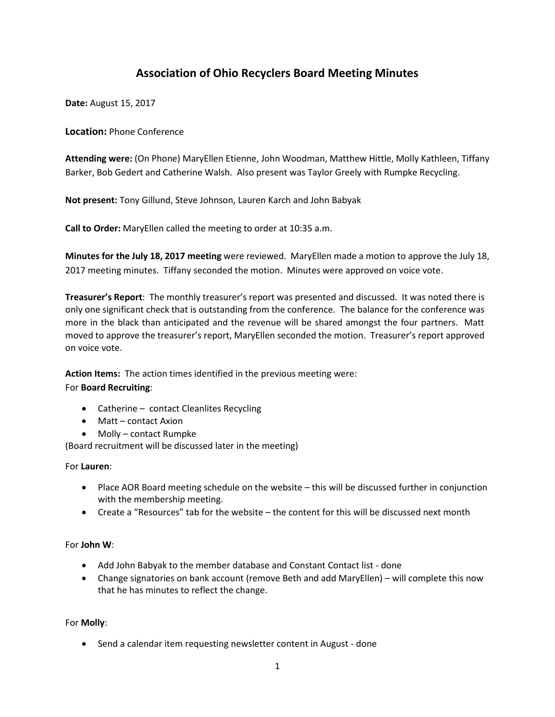# **Association of Ohio Recyclers Board Meeting Minutes**

**Date:** August 15, 2017

**Location:** Phone Conference

**Attending were:** (On Phone) MaryEllen Etienne, John Woodman, Matthew Hittle, Molly Kathleen, Tiffany Barker, Bob Gedert and Catherine Walsh. Also present was Taylor Greely with Rumpke Recycling.

**Not present:** Tony Gillund, Steve Johnson, Lauren Karch and John Babyak

**Call to Order:** MaryEllen called the meeting to order at 10:35 a.m.

**Minutes for the July 18, 2017 meeting** were reviewed. MaryEllen made a motion to approve the July 18, 2017 meeting minutes. Tiffany seconded the motion. Minutes were approved on voice vote.

**Treasurer's Report**: The monthly treasurer's report was presented and discussed. It was noted there is only one significant check that is outstanding from the conference. The balance for the conference was more in the black than anticipated and the revenue will be shared amongst the four partners. Matt moved to approve the treasurer's report, MaryEllen seconded the motion. Treasurer's report approved on voice vote.

**Action Items:** The action times identified in the previous meeting were:

# For **Board Recruiting**:

- Catherine contact Cleanlites Recycling
- Matt contact Axion
- Molly contact Rumpke

(Board recruitment will be discussed later in the meeting)

For **Lauren**:

- Place AOR Board meeting schedule on the website this will be discussed further in conjunction with the membership meeting.
- Create a "Resources" tab for the website the content for this will be discussed next month

# For **John W**:

- Add John Babyak to the member database and Constant Contact list done
- Change signatories on bank account (remove Beth and add MaryEllen) will complete this now that he has minutes to reflect the change.

# For **Molly**:

• Send a calendar item requesting newsletter content in August - done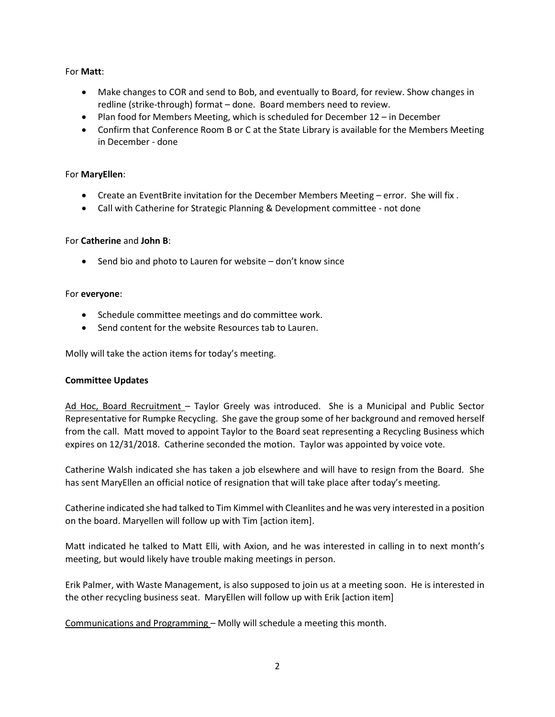# For **Matt**:

- Make changes to COR and send to Bob, and eventually to Board, for review. Show changes in redline (strike-through) format – done. Board members need to review.
- Plan food for Members Meeting, which is scheduled for December 12 in December
- Confirm that Conference Room B or C at the State Library is available for the Members Meeting in December - done

# For **MaryEllen**:

- Create an EventBrite invitation for the December Members Meeting error. She will fix.
- Call with Catherine for Strategic Planning & Development committee not done

# For **Catherine** and **John B**:

• Send bio and photo to Lauren for website – don't know since

#### For **everyone**:

- Schedule committee meetings and do committee work.
- Send content for the website Resources tab to Lauren.

Molly will take the action items for today's meeting.

# **Committee Updates**

Ad Hoc, Board Recruitment – Taylor Greely was introduced. She is a Municipal and Public Sector Representative for Rumpke Recycling. She gave the group some of her background and removed herself from the call. Matt moved to appoint Taylor to the Board seat representing a Recycling Business which expires on 12/31/2018. Catherine seconded the motion. Taylor was appointed by voice vote.

Catherine Walsh indicated she has taken a job elsewhere and will have to resign from the Board. She has sent MaryEllen an official notice of resignation that will take place after today's meeting.

Catherine indicated she had talked to Tim Kimmel with Cleanlites and he was very interested in a position on the board. Maryellen will follow up with Tim [action item].

Matt indicated he talked to Matt Elli, with Axion, and he was interested in calling in to next month's meeting, but would likely have trouble making meetings in person.

Erik Palmer, with Waste Management, is also supposed to join us at a meeting soon. He is interested in the other recycling business seat. MaryEllen will follow up with Erik [action item]

Communications and Programming – Molly will schedule a meeting this month.